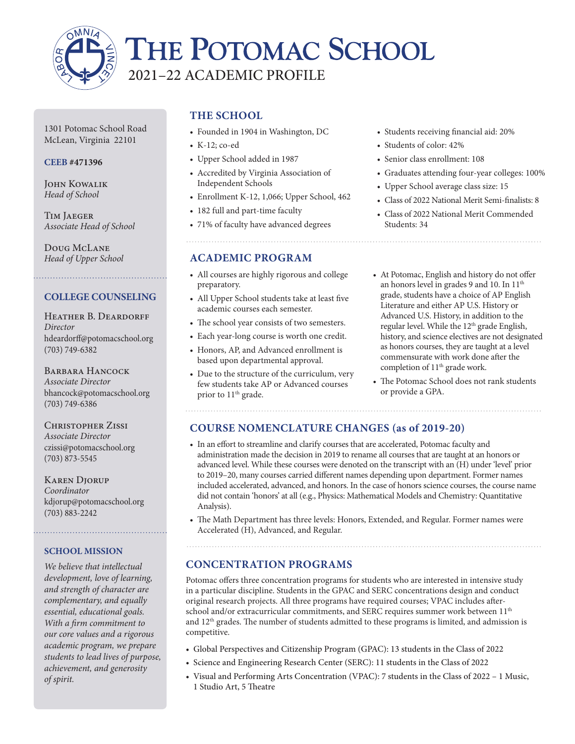

# THE POTOMAC SCHOOL 2021–22 ACADEMIC PROFILE

1301 Potomac School Road McLean, Virginia 22101

#### **CEEB #471396**

John Kowalik *Head of School*

Tim Jaeger *Associate Head of School*

Doug McLane *Head of Upper School*

### **COLLEGE COUNSELING**

HEATHER B. DEARDORFF *Director* hdeardorff@potomacschool.org (703) 749-6382

BARBARA HANCOCK *Associate Director* bhancock@potomacschool.org (703) 749-6386

Christopher Zissi *Associate Director*  czissi@potomacschool.org (703) 873-5545

KAREN DIORUP *Coordinator* kdjorup@potomacschool.org (703) 883-2242

#### **SCHOOL MISSION**

*We believe that intellectual development, love of learning, and strength of character are complementary, and equally essential, educational goals. With a firm commitment to our core values and a rigorous academic program, we prepare students to lead lives of purpose, achievement, and generosity of spirit.*

# **THE SCHOOL**

- Founded in 1904 in Washington, DC
- K-12; co-ed
- Upper School added in 1987
- Accredited by Virginia Association of Independent Schools
- Enrollment K-12, 1,066; Upper School, 462
- 182 full and part-time faculty
- 71% of faculty have advanced degrees

### **ACADEMIC PROGRAM**

- All courses are highly rigorous and college preparatory.
- All Upper School students take at least five academic courses each semester.
- The school year consists of two semesters.
- Each year-long course is worth one credit.
- Honors, AP, and Advanced enrollment is based upon departmental approval.
- Due to the structure of the curriculum, very few students take AP or Advanced courses prior to 11<sup>th</sup> grade.

- Students receiving financial aid: 20%
- Students of color: 42%
- Senior class enrollment: 108
- Graduates attending four-year colleges: 100%
- Upper School average class size: 15
- Class of 2022 National Merit Semi-finalists: 8
- Class of 2022 National Merit Commended Students: 34

- At Potomac, English and history do not offer an honors level in grades 9 and 10. In 11<sup>th</sup> grade, students have a choice of AP English Literature and either AP U.S. History or Advanced U.S. History, in addition to the regular level. While the 12<sup>th</sup> grade English, history, and science electives are not designated as honors courses, they are taught at a level commensurate with work done after the completion of 11th grade work.
- The Potomac School does not rank students or provide a GPA.

# **COURSE NOMENCLATURE CHANGES (as of 2019-20)**

- In an effort to streamline and clarify courses that are accelerated, Potomac faculty and administration made the decision in 2019 to rename all courses that are taught at an honors or advanced level. While these courses were denoted on the transcript with an (H) under 'level' prior to 2019–20, many courses carried different names depending upon department. Former names included accelerated, advanced, and honors. In the case of honors science courses, the course name did not contain 'honors' at all (e.g., Physics: Mathematical Models and Chemistry: Quantitative Analysis).
- The Math Department has three levels: Honors, Extended, and Regular. Former names were Accelerated (H), Advanced, and Regular.

# **CONCENTRATION PROGRAMS**

Potomac offers three concentration programs for students who are interested in intensive study in a particular discipline. Students in the GPAC and SERC concentrations design and conduct original research projects. All three programs have required courses; VPAC includes afterschool and/or extracurricular commitments, and SERC requires summer work between 11<sup>th</sup> and  $12<sup>th</sup>$  grades. The number of students admitted to these programs is limited, and admission is competitive.

- Global Perspectives and Citizenship Program (GPAC): 13 students in the Class of 2022
- Science and Engineering Research Center (SERC): 11 students in the Class of 2022
- Visual and Performing Arts Concentration (VPAC): 7 students in the Class of 2022 1 Music, 1 Studio Art, 5 Theatre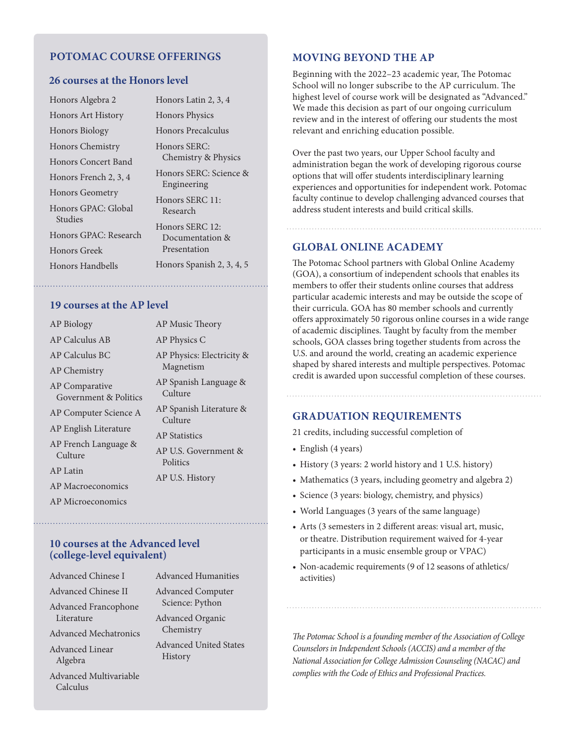#### **POTOMAC COURSE OFFERINGS**

#### **26 courses at the Honors level**

| Honors Algebra 2                                 | Honors Latin 2, 3, 4                               |
|--------------------------------------------------|----------------------------------------------------|
| <b>Honors Art History</b>                        | <b>Honors Physics</b>                              |
| <b>Honors Biology</b>                            | Honors Precalculus                                 |
| Honors Chemistry<br>Honors Concert Band          | Honors SERC:<br>Chemistry & Physics                |
| Honors French 2, 3, 4                            | Honors SERC: Science &<br>Engineering              |
| <b>Honors Geometry</b><br>Honors GPAC: Global    | Honors SERC 11:<br>Research                        |
| Studies<br>Honors GPAC: Research<br>Honors Greek | Honors SERC 12:<br>Documentation &<br>Presentation |
| Honors Handbells                                 | Honors Spanish 2, 3, 4, 5                          |
|                                                  |                                                    |

**19 courses at the AP level**

| <b>AP Biology</b>                              | AP Music Theory                    |
|------------------------------------------------|------------------------------------|
| AP Calculus AB                                 | AP Physics C                       |
| AP Calculus BC                                 | AP Physics: Electricity &          |
| <b>AP Chemistry</b>                            | Magnetism                          |
| <b>AP</b> Comparative<br>Government & Politics | AP Spanish Language &<br>Culture   |
| AP Computer Science A                          | AP Spanish Literature &<br>Culture |
| AP English Literature                          | <b>AP</b> Statistics               |
| AP French Language &<br>Culture                | AP U.S. Government &<br>Politics   |
| AP Latin                                       | AP U.S. History                    |
| <b>AP Macroeconomics</b>                       |                                    |
| AP Microeconomics                              |                                    |
|                                                |                                    |

#### **10 courses at the Advanced level (college-level equivalent)**

| Advanced Chinese I           | Advar       |
|------------------------------|-------------|
| Advanced Chinese II          | Adva        |
| Advanced Francophone         | Scie        |
| Literature                   | Adva        |
| <b>Advanced Mechatronics</b> | Che         |
| <b>Advanced Linear</b>       | Advar       |
| Algebra                      | <b>Hist</b> |
| Advanced Multivariable       |             |
| Calculus                     |             |

nced Humanities nced Computer ence: Python nced Organic mistry nced United States tory

#### **MOVING BEYOND THE AP**

Beginning with the 2022–23 academic year, The Potomac School will no longer subscribe to the AP curriculum. The highest level of course work will be designated as "Advanced." We made this decision as part of our ongoing curriculum review and in the interest of offering our students the most relevant and enriching education possible.

Over the past two years, our Upper School faculty and administration began the work of developing rigorous course options that will offer students interdisciplinary learning experiences and opportunities for independent work. Potomac faculty continue to develop challenging advanced courses that address student interests and build critical skills.

#### **GLOBAL ONLINE ACADEMY**

The Potomac School partners with Global Online Academy (GOA), a consortium of independent schools that enables its members to offer their students online courses that address particular academic interests and may be outside the scope of their curricula. GOA has 80 member schools and currently offers approximately 50 rigorous online courses in a wide range of academic disciplines. Taught by faculty from the member schools, GOA classes bring together students from across the U.S. and around the world, creating an academic experience shaped by shared interests and multiple perspectives. Potomac credit is awarded upon successful completion of these courses.

### **GRADUATION REQUIREMENTS**

21 credits, including successful completion of

- English (4 years)
- History (3 years: 2 world history and 1 U.S. history)
- Mathematics (3 years, including geometry and algebra 2)
- Science (3 years: biology, chemistry, and physics)
- World Languages (3 years of the same language)
- Arts (3 semesters in 2 different areas: visual art, music, or theatre. Distribution requirement waived for 4-year participants in a music ensemble group or VPAC)
- Non-academic requirements (9 of 12 seasons of athletics/ activities)

*The Potomac School is a founding member of the Association of College Counselors in Independent Schools (ACCIS) and a member of the National Association for College Admission Counseling (NACAC) and complies with the Code of Ethics and Professional Practices.*